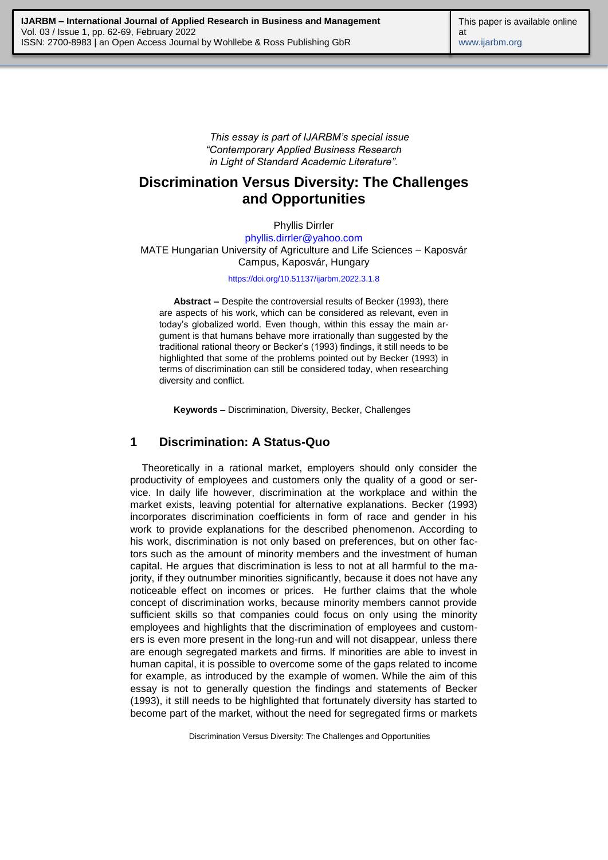*This essay is part of IJARBM's special issue "Contemporary Applied Business Research in Light of Standard Academic Literature".*

# **Discrimination Versus Diversity: The Challenges and Opportunities**

Phyllis Dirrler

[phyllis.dirrler@yahoo.com](mailto:phyllis.dirrler@yahoo.com) MATE Hungarian University of Agriculture and Life Sciences – Kaposvár Campus, Kaposvár, Hungary

#### <https://doi.org/10.51137/ijarbm.2022.3.1.8>

**Abstract –** Despite the controversial results of Becker (1993), there are aspects of his work, which can be considered as relevant, even in today's globalized world. Even though, within this essay the main argument is that humans behave more irrationally than suggested by the traditional rational theory or Becker's (1993) findings, it still needs to be highlighted that some of the problems pointed out by Becker (1993) in terms of discrimination can still be considered today, when researching diversity and conflict.

**Keywords –** Discrimination, Diversity, Becker, Challenges

#### **1 Discrimination: A Status-Quo**

Theoretically in a rational market, employers should only consider the productivity of employees and customers only the quality of a good or service. In daily life however, discrimination at the workplace and within the market exists, leaving potential for alternative explanations. Becker (1993) incorporates discrimination coefficients in form of race and gender in his work to provide explanations for the described phenomenon. According to his work, discrimination is not only based on preferences, but on other factors such as the amount of minority members and the investment of human capital. He argues that discrimination is less to not at all harmful to the majority, if they outnumber minorities significantly, because it does not have any noticeable effect on incomes or prices. He further claims that the whole concept of discrimination works, because minority members cannot provide sufficient skills so that companies could focus on only using the minority employees and highlights that the discrimination of employees and customers is even more present in the long-run and will not disappear, unless there are enough segregated markets and firms. If minorities are able to invest in human capital, it is possible to overcome some of the gaps related to income for example, as introduced by the example of women. While the aim of this essay is not to generally question the findings and statements of Becker (1993), it still needs to be highlighted that fortunately diversity has started to become part of the market, without the need for segregated firms or markets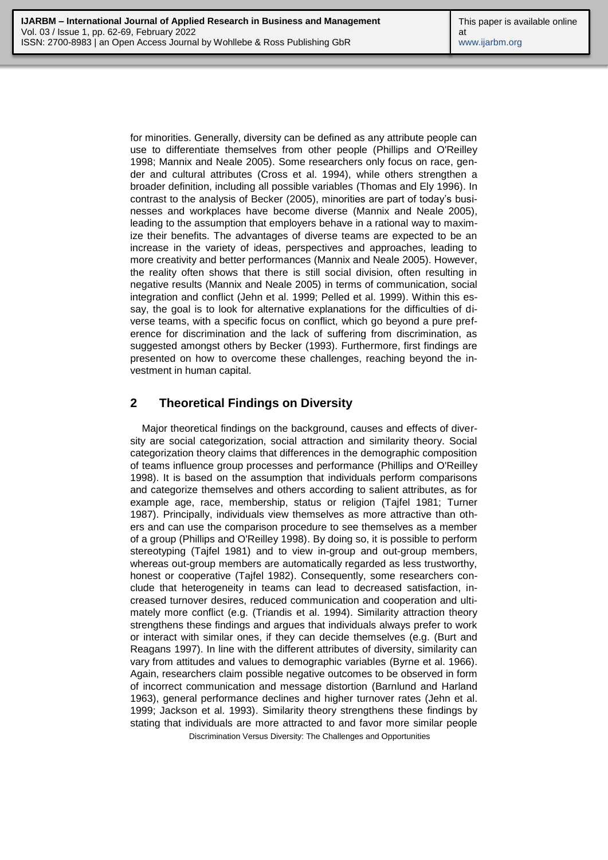for minorities. Generally, diversity can be defined as any attribute people can use to differentiate themselves from other people (Phillips and O'Reilley 1998; Mannix and Neale 2005). Some researchers only focus on race, gender and cultural attributes (Cross et al. 1994), while others strengthen a broader definition, including all possible variables (Thomas and Ely 1996). In contrast to the analysis of Becker (2005), minorities are part of today's businesses and workplaces have become diverse (Mannix and Neale 2005), leading to the assumption that employers behave in a rational way to maximize their benefits. The advantages of diverse teams are expected to be an increase in the variety of ideas, perspectives and approaches, leading to more creativity and better performances (Mannix and Neale 2005). However, the reality often shows that there is still social division, often resulting in negative results (Mannix and Neale 2005) in terms of communication, social integration and conflict (Jehn et al. 1999; Pelled et al. 1999). Within this essay, the goal is to look for alternative explanations for the difficulties of diverse teams, with a specific focus on conflict, which go beyond a pure preference for discrimination and the lack of suffering from discrimination, as suggested amongst others by Becker (1993). Furthermore, first findings are presented on how to overcome these challenges, reaching beyond the investment in human capital.

## **2 Theoretical Findings on Diversity**

Major theoretical findings on the background, causes and effects of diversity are social categorization, social attraction and similarity theory. Social categorization theory claims that differences in the demographic composition of teams influence group processes and performance (Phillips and O'Reilley 1998). It is based on the assumption that individuals perform comparisons and categorize themselves and others according to salient attributes, as for example age, race, membership, status or religion (Tajfel 1981; Turner 1987). Principally, individuals view themselves as more attractive than others and can use the comparison procedure to see themselves as a member of a group (Phillips and O'Reilley 1998). By doing so, it is possible to perform stereotyping (Tajfel 1981) and to view in-group and out-group members, whereas out-group members are automatically regarded as less trustworthy, honest or cooperative (Tajfel 1982). Consequently, some researchers conclude that heterogeneity in teams can lead to decreased satisfaction, increased turnover desires, reduced communication and cooperation and ultimately more conflict (e.g. (Triandis et al. 1994). Similarity attraction theory strengthens these findings and argues that individuals always prefer to work or interact with similar ones, if they can decide themselves (e.g. (Burt and Reagans 1997). In line with the different attributes of diversity, similarity can vary from attitudes and values to demographic variables (Byrne et al. 1966). Again, researchers claim possible negative outcomes to be observed in form of incorrect communication and message distortion (Barnlund and Harland 1963), general performance declines and higher turnover rates (Jehn et al. 1999; Jackson et al. 1993). Similarity theory strengthens these findings by stating that individuals are more attracted to and favor more similar people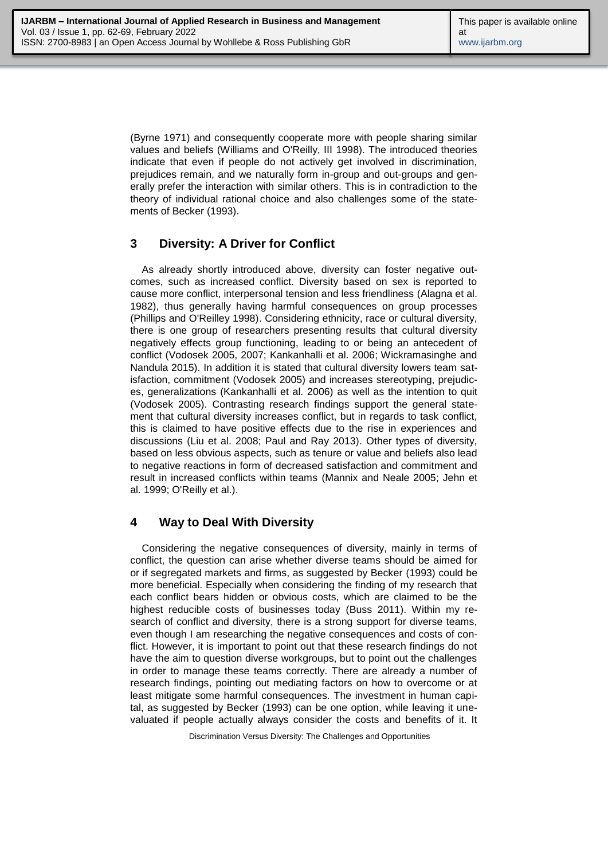(Byrne 1971) and consequently cooperate more with people sharing similar values and beliefs (Williams and O'Reilly, III 1998). The introduced theories indicate that even if people do not actively get involved in discrimination, prejudices remain, and we naturally form in-group and out-groups and generally prefer the interaction with similar others. This is in contradiction to the theory of individual rational choice and also challenges some of the statements of Becker (1993).

### **3 Diversity: A Driver for Conflict**

As already shortly introduced above, diversity can foster negative outcomes, such as increased conflict. Diversity based on sex is reported to cause more conflict, interpersonal tension and less friendliness (Alagna et al. 1982), thus generally having harmful consequences on group processes (Phillips and O'Reilley 1998). Considering ethnicity, race or cultural diversity, there is one group of researchers presenting results that cultural diversity negatively effects group functioning, leading to or being an antecedent of conflict (Vodosek 2005, 2007; Kankanhalli et al. 2006; Wickramasinghe and Nandula 2015). In addition it is stated that cultural diversity lowers team satisfaction, commitment (Vodosek 2005) and increases stereotyping, prejudices, generalizations (Kankanhalli et al. 2006) as well as the intention to quit (Vodosek 2005). Contrasting research findings support the general statement that cultural diversity increases conflict, but in regards to task conflict, this is claimed to have positive effects due to the rise in experiences and discussions (Liu et al. 2008; Paul and Ray 2013). Other types of diversity, based on less obvious aspects, such as tenure or value and beliefs also lead to negative reactions in form of decreased satisfaction and commitment and result in increased conflicts within teams (Mannix and Neale 2005; Jehn et al. 1999; O'Reilly et al.).

### **4 Way to Deal With Diversity**

Considering the negative consequences of diversity, mainly in terms of conflict, the question can arise whether diverse teams should be aimed for or if segregated markets and firms, as suggested by Becker (1993) could be more beneficial. Especially when considering the finding of my research that each conflict bears hidden or obvious costs, which are claimed to be the highest reducible costs of businesses today (Buss 2011). Within my research of conflict and diversity, there is a strong support for diverse teams, even though I am researching the negative consequences and costs of conflict. However, it is important to point out that these research findings do not have the aim to question diverse workgroups, but to point out the challenges in order to manage these teams correctly. There are already a number of research findings, pointing out mediating factors on how to overcome or at least mitigate some harmful consequences. The investment in human capital, as suggested by Becker (1993) can be one option, while leaving it unevaluated if people actually always consider the costs and benefits of it. It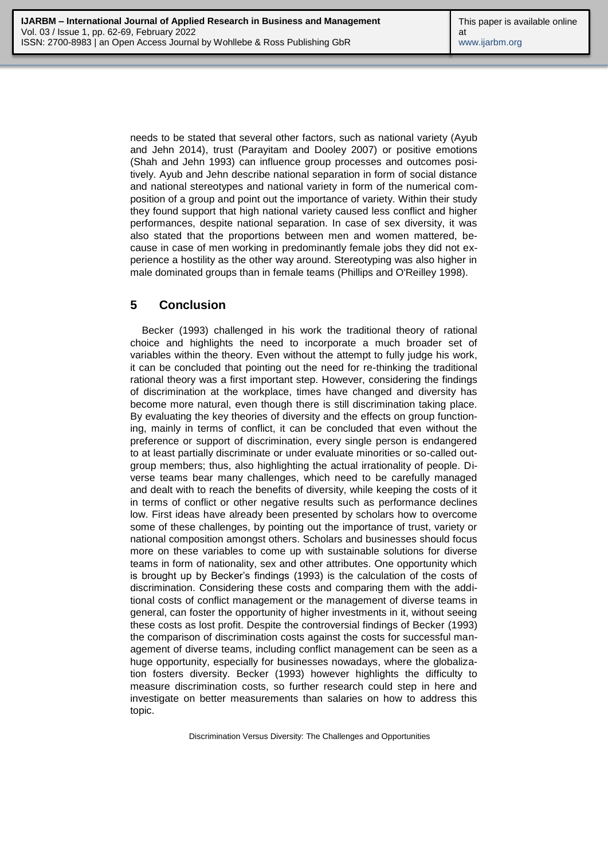needs to be stated that several other factors, such as national variety (Ayub and Jehn 2014), trust (Parayitam and Dooley 2007) or positive emotions (Shah and Jehn 1993) can influence group processes and outcomes positively. Ayub and Jehn describe national separation in form of social distance and national stereotypes and national variety in form of the numerical composition of a group and point out the importance of variety. Within their study they found support that high national variety caused less conflict and higher performances, despite national separation. In case of sex diversity, it was also stated that the proportions between men and women mattered, because in case of men working in predominantly female jobs they did not experience a hostility as the other way around. Stereotyping was also higher in male dominated groups than in female teams (Phillips and O'Reilley 1998).

### **5 Conclusion**

Becker (1993) challenged in his work the traditional theory of rational choice and highlights the need to incorporate a much broader set of variables within the theory. Even without the attempt to fully judge his work, it can be concluded that pointing out the need for re-thinking the traditional rational theory was a first important step. However, considering the findings of discrimination at the workplace, times have changed and diversity has become more natural, even though there is still discrimination taking place. By evaluating the key theories of diversity and the effects on group functioning, mainly in terms of conflict, it can be concluded that even without the preference or support of discrimination, every single person is endangered to at least partially discriminate or under evaluate minorities or so-called outgroup members; thus, also highlighting the actual irrationality of people. Diverse teams bear many challenges, which need to be carefully managed and dealt with to reach the benefits of diversity, while keeping the costs of it in terms of conflict or other negative results such as performance declines low. First ideas have already been presented by scholars how to overcome some of these challenges, by pointing out the importance of trust, variety or national composition amongst others. Scholars and businesses should focus more on these variables to come up with sustainable solutions for diverse teams in form of nationality, sex and other attributes. One opportunity which is brought up by Becker's findings (1993) is the calculation of the costs of discrimination. Considering these costs and comparing them with the additional costs of conflict management or the management of diverse teams in general, can foster the opportunity of higher investments in it, without seeing these costs as lost profit. Despite the controversial findings of Becker (1993) the comparison of discrimination costs against the costs for successful management of diverse teams, including conflict management can be seen as a huge opportunity, especially for businesses nowadays, where the globalization fosters diversity. Becker (1993) however highlights the difficulty to measure discrimination costs, so further research could step in here and investigate on better measurements than salaries on how to address this topic.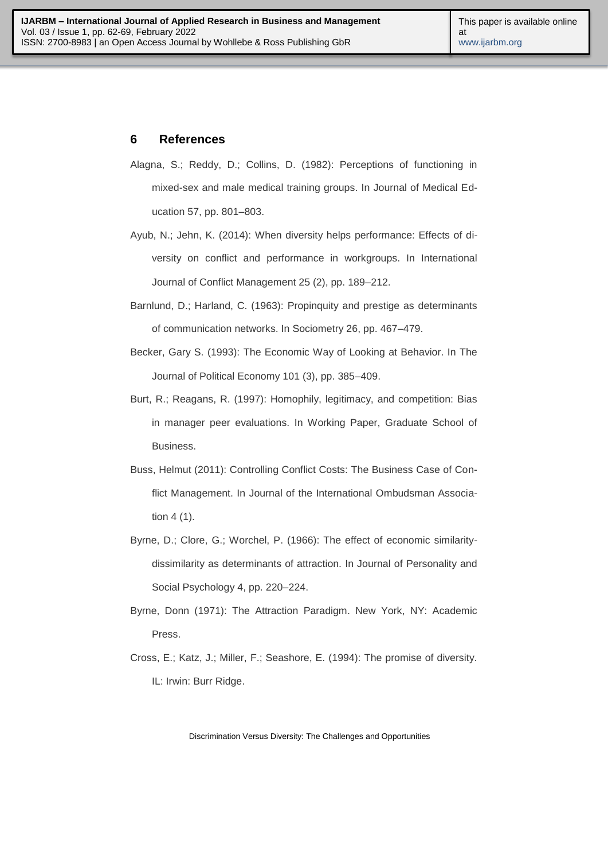#### **6 References**

- Alagna, S.; Reddy, D.; Collins, D. (1982): Perceptions of functioning in mixed-sex and male medical training groups. In Journal of Medical Education 57, pp. 801–803.
- Ayub, N.; Jehn, K. (2014): When diversity helps performance: Effects of diversity on conflict and performance in workgroups. In International Journal of Conflict Management 25 (2), pp. 189–212.
- Barnlund, D.; Harland, C. (1963): Propinquity and prestige as determinants of communication networks. In Sociometry 26, pp. 467–479.
- Becker, Gary S. (1993): The Economic Way of Looking at Behavior. In The Journal of Political Economy 101 (3), pp. 385–409.
- Burt, R.; Reagans, R. (1997): Homophily, legitimacy, and competition: Bias in manager peer evaluations. In Working Paper, Graduate School of Business.
- Buss, Helmut (2011): Controlling Conflict Costs: The Business Case of Conflict Management. In Journal of the International Ombudsman Association 4 (1).
- Byrne, D.; Clore, G.; Worchel, P. (1966): The effect of economic similaritydissimilarity as determinants of attraction. In Journal of Personality and Social Psychology 4, pp. 220–224.
- Byrne, Donn (1971): The Attraction Paradigm. New York, NY: Academic Press.
- Cross, E.; Katz, J.; Miller, F.; Seashore, E. (1994): The promise of diversity. IL: Irwin: Burr Ridge.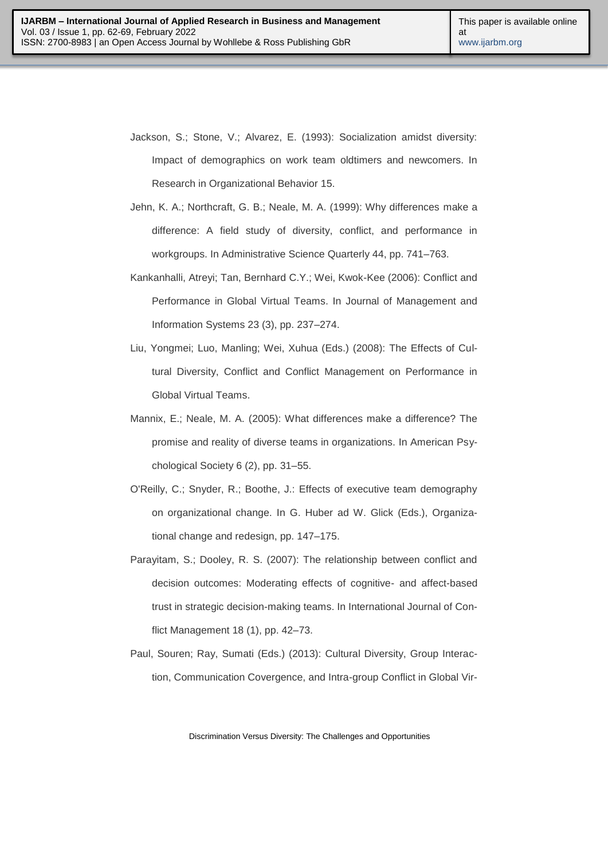- Jackson, S.; Stone, V.; Alvarez, E. (1993): Socialization amidst diversity: Impact of demographics on work team oldtimers and newcomers. In Research in Organizational Behavior 15.
- Jehn, K. A.; Northcraft, G. B.; Neale, M. A. (1999): Why differences make a difference: A field study of diversity, conflict, and performance in workgroups. In Administrative Science Quarterly 44, pp. 741–763.
- Kankanhalli, Atreyi; Tan, Bernhard C.Y.; Wei, Kwok-Kee (2006): Conflict and Performance in Global Virtual Teams. In Journal of Management and Information Systems 23 (3), pp. 237–274.
- Liu, Yongmei; Luo, Manling; Wei, Xuhua (Eds.) (2008): The Effects of Cultural Diversity, Conflict and Conflict Management on Performance in Global Virtual Teams.
- Mannix, E.; Neale, M. A. (2005): What differences make a difference? The promise and reality of diverse teams in organizations. In American Psychological Society 6 (2), pp. 31–55.
- O'Reilly, C.; Snyder, R.; Boothe, J.: Effects of executive team demography on organizational change. In G. Huber ad W. Glick (Eds.), Organizational change and redesign, pp. 147–175.
- Parayitam, S.; Dooley, R. S. (2007): The relationship between conflict and decision outcomes: Moderating effects of cognitive- and affect-based trust in strategic decision-making teams. In International Journal of Conflict Management 18 (1), pp. 42–73.
- Paul, Souren; Ray, Sumati (Eds.) (2013): Cultural Diversity, Group Interaction, Communication Covergence, and Intra-group Conflict in Global Vir-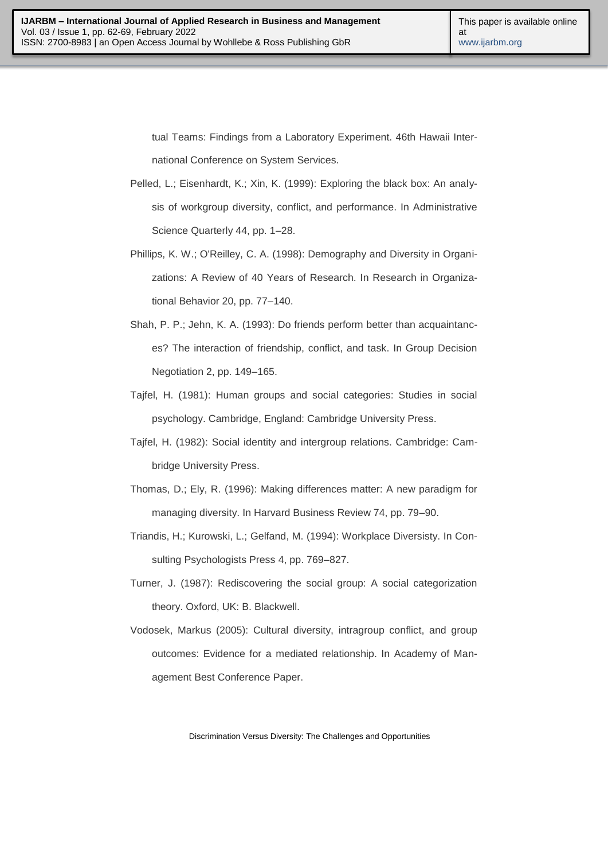tual Teams: Findings from a Laboratory Experiment. 46th Hawaii International Conference on System Services.

- Pelled, L.; Eisenhardt, K.; Xin, K. (1999): Exploring the black box: An analysis of workgroup diversity, conflict, and performance. In Administrative Science Quarterly 44, pp. 1–28.
- Phillips, K. W.; O'Reilley, C. A. (1998): Demography and Diversity in Organizations: A Review of 40 Years of Research. In Research in Organizational Behavior 20, pp. 77–140.
- Shah, P. P.; Jehn, K. A. (1993): Do friends perform better than acquaintances? The interaction of friendship, conflict, and task. In Group Decision Negotiation 2, pp. 149–165.
- Tajfel, H. (1981): Human groups and social categories: Studies in social psychology. Cambridge, England: Cambridge University Press.
- Tajfel, H. (1982): Social identity and intergroup relations. Cambridge: Cambridge University Press.
- Thomas, D.; Ely, R. (1996): Making differences matter: A new paradigm for managing diversity. In Harvard Business Review 74, pp. 79–90.
- Triandis, H.; Kurowski, L.; Gelfand, M. (1994): Workplace Diversisty. In Consulting Psychologists Press 4, pp. 769–827.
- Turner, J. (1987): Rediscovering the social group: A social categorization theory. Oxford, UK: B. Blackwell.
- Vodosek, Markus (2005): Cultural diversity, intragroup conflict, and group outcomes: Evidence for a mediated relationship. In Academy of Management Best Conference Paper.